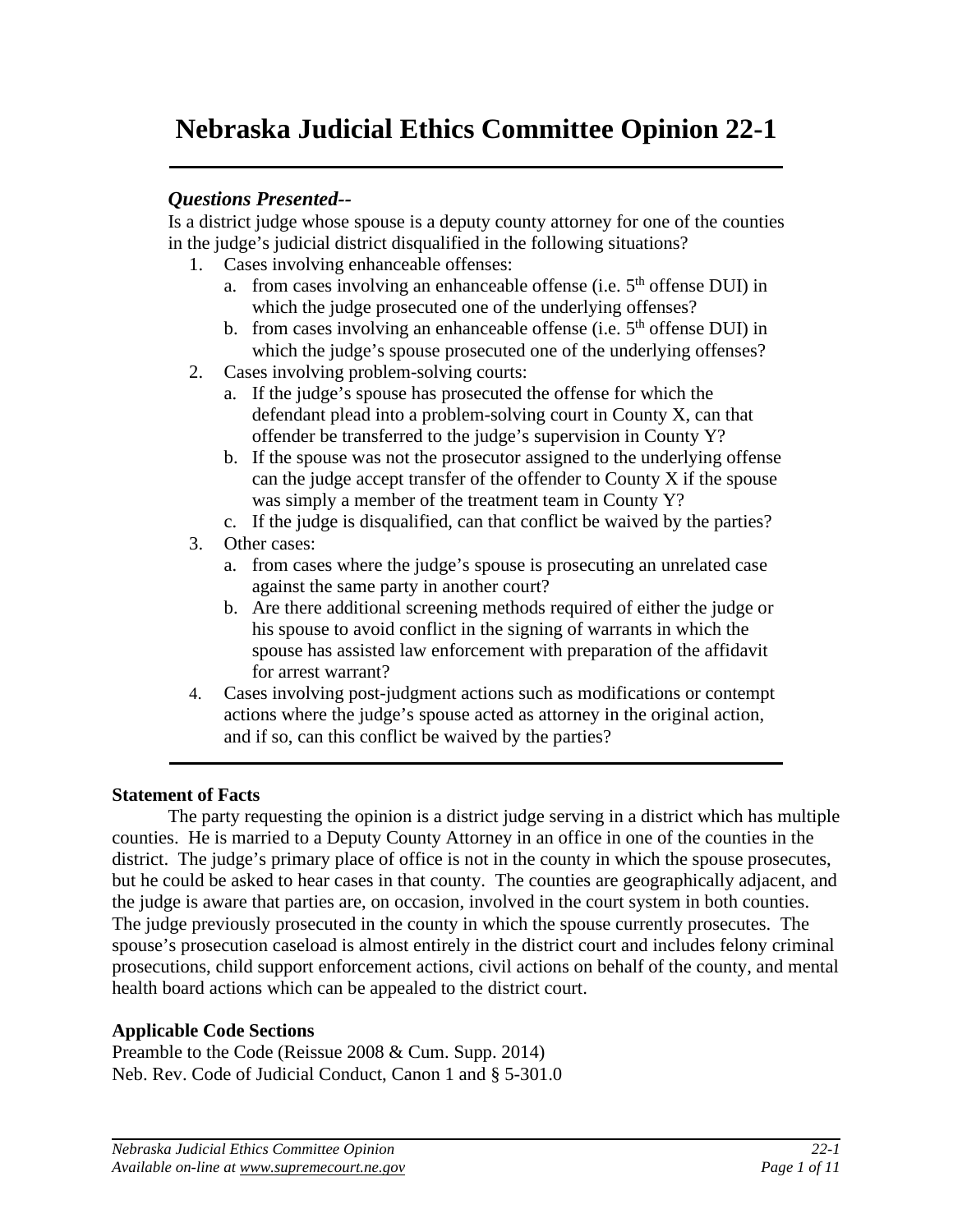# **Nebraska Judicial Ethics Committee Opinion 22-1**

# *Questions Presented--*

Is a district judge whose spouse is a deputy county attorney for one of the counties in the judge's judicial district disqualified in the following situations?

- 1. Cases involving enhanceable offenses:
	- a. from cases involving an enhanceable offense (i.e.  $5<sup>th</sup>$  offense DUI) in which the judge prosecuted one of the underlying offenses?
	- b. from cases involving an enhanceable offense (i.e.  $5<sup>th</sup>$  offense DUI) in which the judge's spouse prosecuted one of the underlying offenses?
- 2. Cases involving problem-solving courts:
	- a. If the judge's spouse has prosecuted the offense for which the defendant plead into a problem-solving court in County X, can that offender be transferred to the judge's supervision in County Y?
	- b. If the spouse was not the prosecutor assigned to the underlying offense can the judge accept transfer of the offender to County X if the spouse was simply a member of the treatment team in County Y?
	- c. If the judge is disqualified, can that conflict be waived by the parties?
- 3. Other cases:
	- a. from cases where the judge's spouse is prosecuting an unrelated case against the same party in another court?
	- b. Are there additional screening methods required of either the judge or his spouse to avoid conflict in the signing of warrants in which the spouse has assisted law enforcement with preparation of the affidavit for arrest warrant?
- 4. Cases involving post-judgment actions such as modifications or contempt actions where the judge's spouse acted as attorney in the original action, and if so, can this conflict be waived by the parties?

## **Statement of Facts**

The party requesting the opinion is a district judge serving in a district which has multiple counties. He is married to a Deputy County Attorney in an office in one of the counties in the district. The judge's primary place of office is not in the county in which the spouse prosecutes, but he could be asked to hear cases in that county. The counties are geographically adjacent, and the judge is aware that parties are, on occasion, involved in the court system in both counties. The judge previously prosecuted in the county in which the spouse currently prosecutes. The spouse's prosecution caseload is almost entirely in the district court and includes felony criminal prosecutions, child support enforcement actions, civil actions on behalf of the county, and mental health board actions which can be appealed to the district court.

### **Applicable Code Sections**

Preamble to the Code (Reissue 2008 & Cum. Supp. 2014) Neb. Rev. Code of Judicial Conduct, Canon 1 and § 5-301.0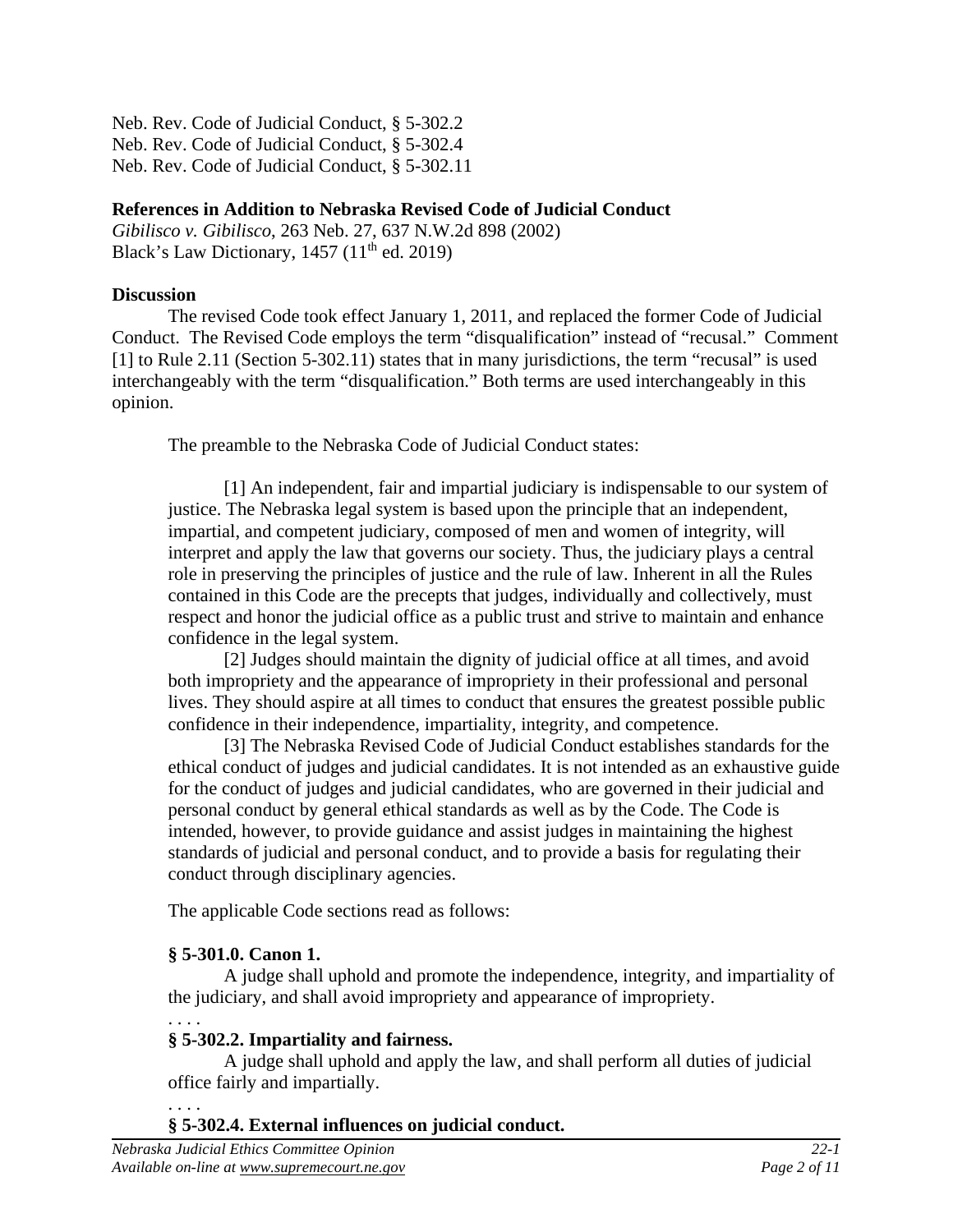Neb. Rev. Code of Judicial Conduct, § 5-302.2 Neb. Rev. Code of Judicial Conduct, § 5-302.4 Neb. Rev. Code of Judicial Conduct, § 5-302.11

# **References in Addition to Nebraska Revised Code of Judicial Conduct**

*Gibilisco v. Gibilisco*, 263 Neb. 27, 637 N.W.2d 898 (2002) Black's Law Dictionary,  $1457 (11<sup>th</sup>$  ed. 2019)

# **Discussion**

The revised Code took effect January 1, 2011, and replaced the former Code of Judicial Conduct. The Revised Code employs the term "disqualification" instead of "recusal." Comment [1] to Rule 2.11 (Section 5-302.11) states that in many jurisdictions, the term "recusal" is used interchangeably with the term "disqualification." Both terms are used interchangeably in this opinion.

The preamble to the Nebraska Code of Judicial Conduct states:

[1] An independent, fair and impartial judiciary is indispensable to our system of justice. The Nebraska legal system is based upon the principle that an independent, impartial, and competent judiciary, composed of men and women of integrity, will interpret and apply the law that governs our society. Thus, the judiciary plays a central role in preserving the principles of justice and the rule of law. Inherent in all the Rules contained in this Code are the precepts that judges, individually and collectively, must respect and honor the judicial office as a public trust and strive to maintain and enhance confidence in the legal system.

[2] Judges should maintain the dignity of judicial office at all times, and avoid both impropriety and the appearance of impropriety in their professional and personal lives. They should aspire at all times to conduct that ensures the greatest possible public confidence in their independence, impartiality, integrity, and competence.

[3] The Nebraska Revised Code of Judicial Conduct establishes standards for the ethical conduct of judges and judicial candidates. It is not intended as an exhaustive guide for the conduct of judges and judicial candidates, who are governed in their judicial and personal conduct by general ethical standards as well as by the Code. The Code is intended, however, to provide guidance and assist judges in maintaining the highest standards of judicial and personal conduct, and to provide a basis for regulating their conduct through disciplinary agencies.

The applicable Code sections read as follows:

# **§ 5-301.0. Canon 1.**

A judge shall uphold and promote the independence, integrity, and impartiality of the judiciary, and shall avoid impropriety and appearance of impropriety.

#### . . . . **§ 5-302.2. Impartiality and fairness.**

A judge shall uphold and apply the law, and shall perform all duties of judicial office fairly and impartially.

#### . . . . **§ 5-302.4. External influences on judicial conduct.**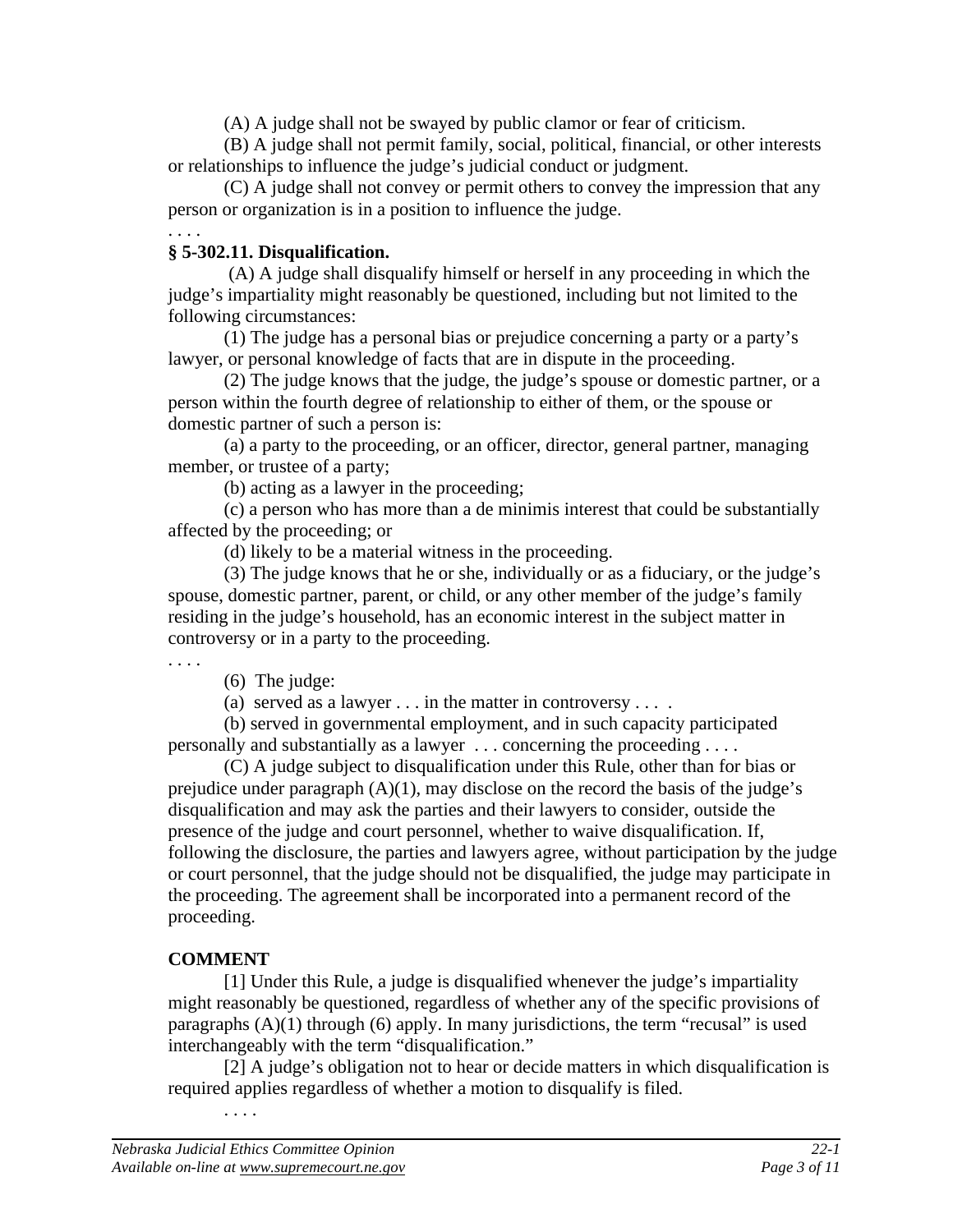(A) A judge shall not be swayed by public clamor or fear of criticism.

(B) A judge shall not permit family, social, political, financial, or other interests or relationships to influence the judge's judicial conduct or judgment.

(C) A judge shall not convey or permit others to convey the impression that any person or organization is in a position to influence the judge.

#### . . . . **§ 5-302.11. Disqualification.**

 (A) A judge shall disqualify himself or herself in any proceeding in which the judge's impartiality might reasonably be questioned, including but not limited to the following circumstances:

(1) The judge has a personal bias or prejudice concerning a party or a party's lawyer, or personal knowledge of facts that are in dispute in the proceeding.

(2) The judge knows that the judge, the judge's spouse or domestic partner, or a person within the fourth degree of relationship to either of them, or the spouse or domestic partner of such a person is:

(a) a party to the proceeding, or an officer, director, general partner, managing member, or trustee of a party;

(b) acting as a lawyer in the proceeding;

(c) a person who has more than a de minimis interest that could be substantially affected by the proceeding; or

(d) likely to be a material witness in the proceeding.

(3) The judge knows that he or she, individually or as a fiduciary, or the judge's spouse, domestic partner, parent, or child, or any other member of the judge's family residing in the judge's household, has an economic interest in the subject matter in controversy or in a party to the proceeding.

. . . .

(6) The judge:

(a) served as a lawyer . . . in the matter in controversy . . . .

 (b) served in governmental employment, and in such capacity participated personally and substantially as a lawyer . . . concerning the proceeding . . . .

(C) A judge subject to disqualification under this Rule, other than for bias or prejudice under paragraph  $(A)(1)$ , may disclose on the record the basis of the judge's disqualification and may ask the parties and their lawyers to consider, outside the presence of the judge and court personnel, whether to waive disqualification. If, following the disclosure, the parties and lawyers agree, without participation by the judge or court personnel, that the judge should not be disqualified, the judge may participate in the proceeding. The agreement shall be incorporated into a permanent record of the proceeding.

# **COMMENT**

[1] Under this Rule, a judge is disqualified whenever the judge's impartiality might reasonably be questioned, regardless of whether any of the specific provisions of paragraphs  $(A)(1)$  through  $(6)$  apply. In many jurisdictions, the term "recusal" is used interchangeably with the term "disqualification."

[2] A judge's obligation not to hear or decide matters in which disqualification is required applies regardless of whether a motion to disqualify is filed.

. . . .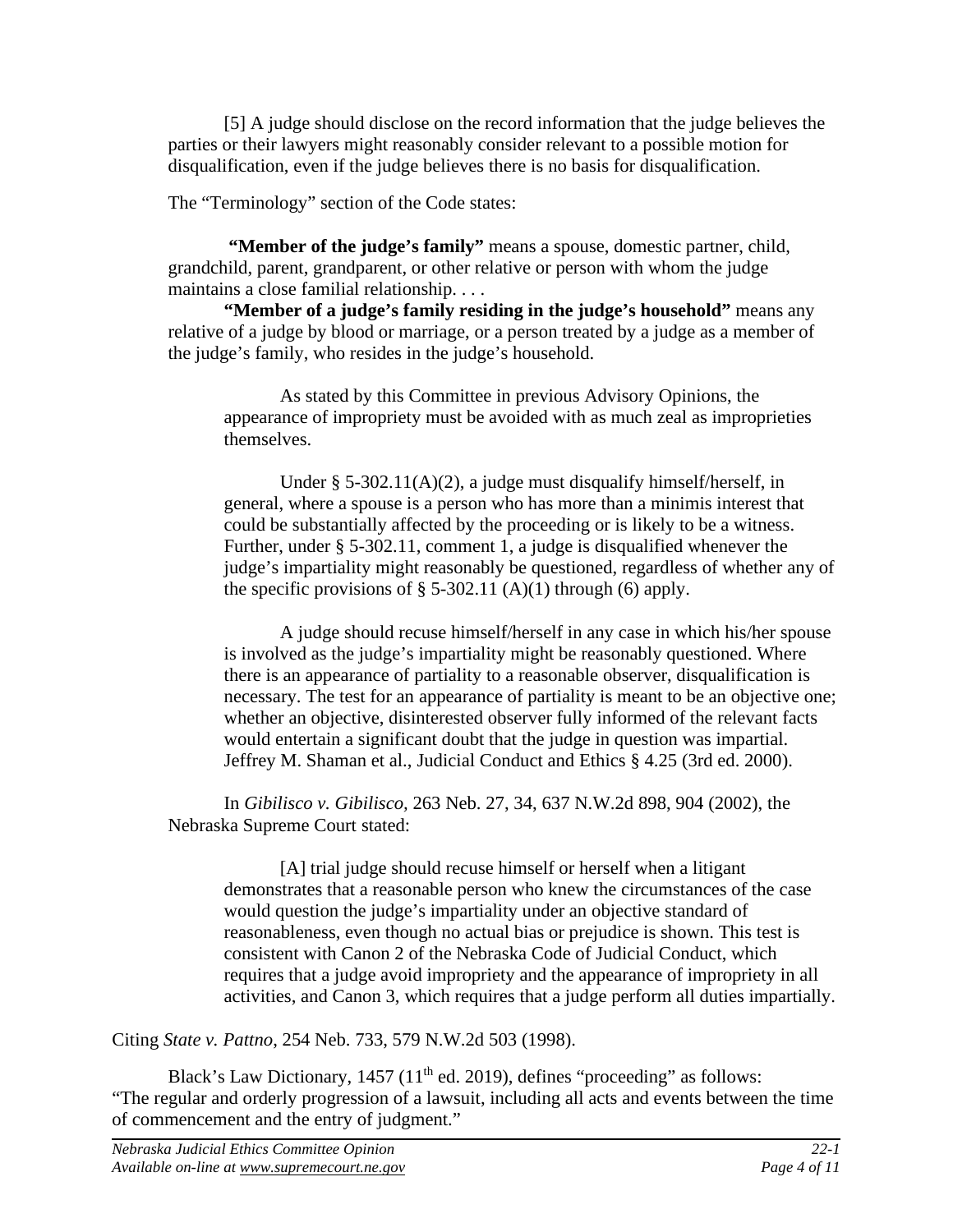[5] A judge should disclose on the record information that the judge believes the parties or their lawyers might reasonably consider relevant to a possible motion for disqualification, even if the judge believes there is no basis for disqualification.

The "Terminology" section of the Code states:

**"Member of the judge's family"** means a spouse, domestic partner, child, grandchild, parent, grandparent, or other relative or person with whom the judge maintains a close familial relationship. . . .

**"Member of a judge's family residing in the judge's household"** means any relative of a judge by blood or marriage, or a person treated by a judge as a member of the judge's family, who resides in the judge's household.

As stated by this Committee in previous Advisory Opinions, the appearance of impropriety must be avoided with as much zeal as improprieties themselves.

Under § 5-302.11(A)(2), a judge must disqualify himself/herself, in general, where a spouse is a person who has more than a minimis interest that could be substantially affected by the proceeding or is likely to be a witness. Further, under § 5-302.11, comment 1, a judge is disqualified whenever the judge's impartiality might reasonably be questioned, regardless of whether any of the specific provisions of  $\S$  5-302.11 (A)(1) through (6) apply.

A judge should recuse himself/herself in any case in which his/her spouse is involved as the judge's impartiality might be reasonably questioned. Where there is an appearance of partiality to a reasonable observer, disqualification is necessary. The test for an appearance of partiality is meant to be an objective one; whether an objective, disinterested observer fully informed of the relevant facts would entertain a significant doubt that the judge in question was impartial. Jeffrey M. Shaman et al., Judicial Conduct and Ethics § 4.25 (3rd ed. 2000).

In *Gibilisco v. Gibilisco,* 263 Neb. 27, 34, 637 N.W.2d 898, 904 (2002), the Nebraska Supreme Court stated:

[A] trial judge should recuse himself or herself when a litigant demonstrates that a reasonable person who knew the circumstances of the case would question the judge's impartiality under an objective standard of reasonableness, even though no actual bias or prejudice is shown. This test is consistent with Canon 2 of the Nebraska Code of Judicial Conduct, which requires that a judge avoid impropriety and the appearance of impropriety in all activities, and Canon 3, which requires that a judge perform all duties impartially.

Citing *State v. Pattno*, 254 Neb. 733, 579 N.W.2d 503 (1998).

Black's Law Dictionary,  $1457 (11<sup>th</sup>$  ed. 2019), defines "proceeding" as follows: "The regular and orderly progression of a lawsuit, including all acts and events between the time of commencement and the entry of judgment."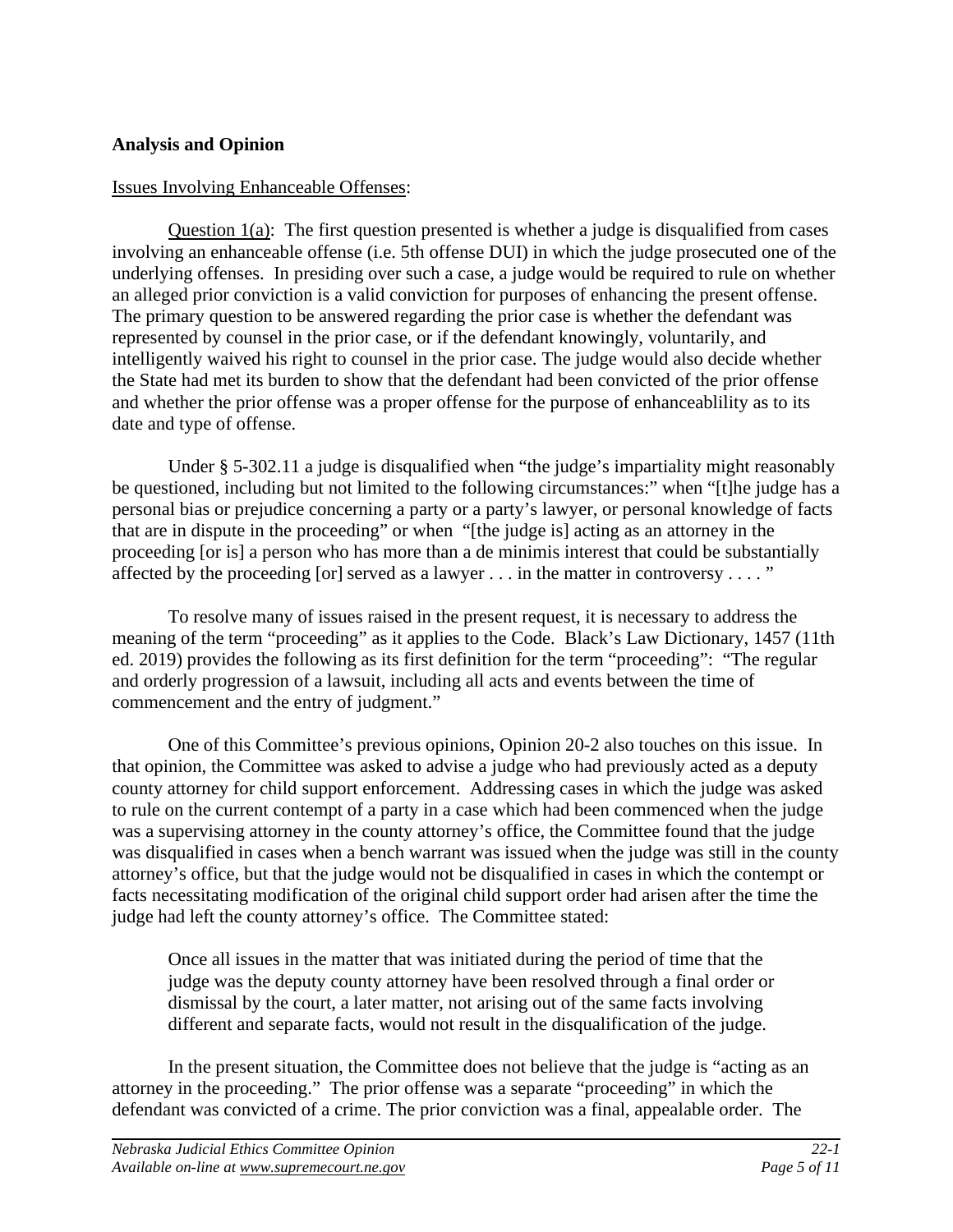### **Analysis and Opinion**

### Issues Involving Enhanceable Offenses:

 Question 1(a): The first question presented is whether a judge is disqualified from cases involving an enhanceable offense (i.e. 5th offense DUI) in which the judge prosecuted one of the underlying offenses. In presiding over such a case, a judge would be required to rule on whether an alleged prior conviction is a valid conviction for purposes of enhancing the present offense. The primary question to be answered regarding the prior case is whether the defendant was represented by counsel in the prior case, or if the defendant knowingly, voluntarily, and intelligently waived his right to counsel in the prior case. The judge would also decide whether the State had met its burden to show that the defendant had been convicted of the prior offense and whether the prior offense was a proper offense for the purpose of enhanceablility as to its date and type of offense.

Under § 5-302.11 a judge is disqualified when "the judge's impartiality might reasonably be questioned, including but not limited to the following circumstances:" when "[t]he judge has a personal bias or prejudice concerning a party or a party's lawyer, or personal knowledge of facts that are in dispute in the proceeding" or when "[the judge is] acting as an attorney in the proceeding [or is] a person who has more than a de minimis interest that could be substantially affected by the proceeding [or] served as a lawyer  $\dots$  in the matter in controversy  $\dots$ ."

 To resolve many of issues raised in the present request, it is necessary to address the meaning of the term "proceeding" as it applies to the Code. Black's Law Dictionary, 1457 (11th ed. 2019) provides the following as its first definition for the term "proceeding": "The regular and orderly progression of a lawsuit, including all acts and events between the time of commencement and the entry of judgment."

 One of this Committee's previous opinions, Opinion 20-2 also touches on this issue. In that opinion, the Committee was asked to advise a judge who had previously acted as a deputy county attorney for child support enforcement. Addressing cases in which the judge was asked to rule on the current contempt of a party in a case which had been commenced when the judge was a supervising attorney in the county attorney's office, the Committee found that the judge was disqualified in cases when a bench warrant was issued when the judge was still in the county attorney's office, but that the judge would not be disqualified in cases in which the contempt or facts necessitating modification of the original child support order had arisen after the time the judge had left the county attorney's office. The Committee stated:

Once all issues in the matter that was initiated during the period of time that the judge was the deputy county attorney have been resolved through a final order or dismissal by the court, a later matter, not arising out of the same facts involving different and separate facts, would not result in the disqualification of the judge.

 In the present situation, the Committee does not believe that the judge is "acting as an attorney in the proceeding." The prior offense was a separate "proceeding" in which the defendant was convicted of a crime. The prior conviction was a final, appealable order. The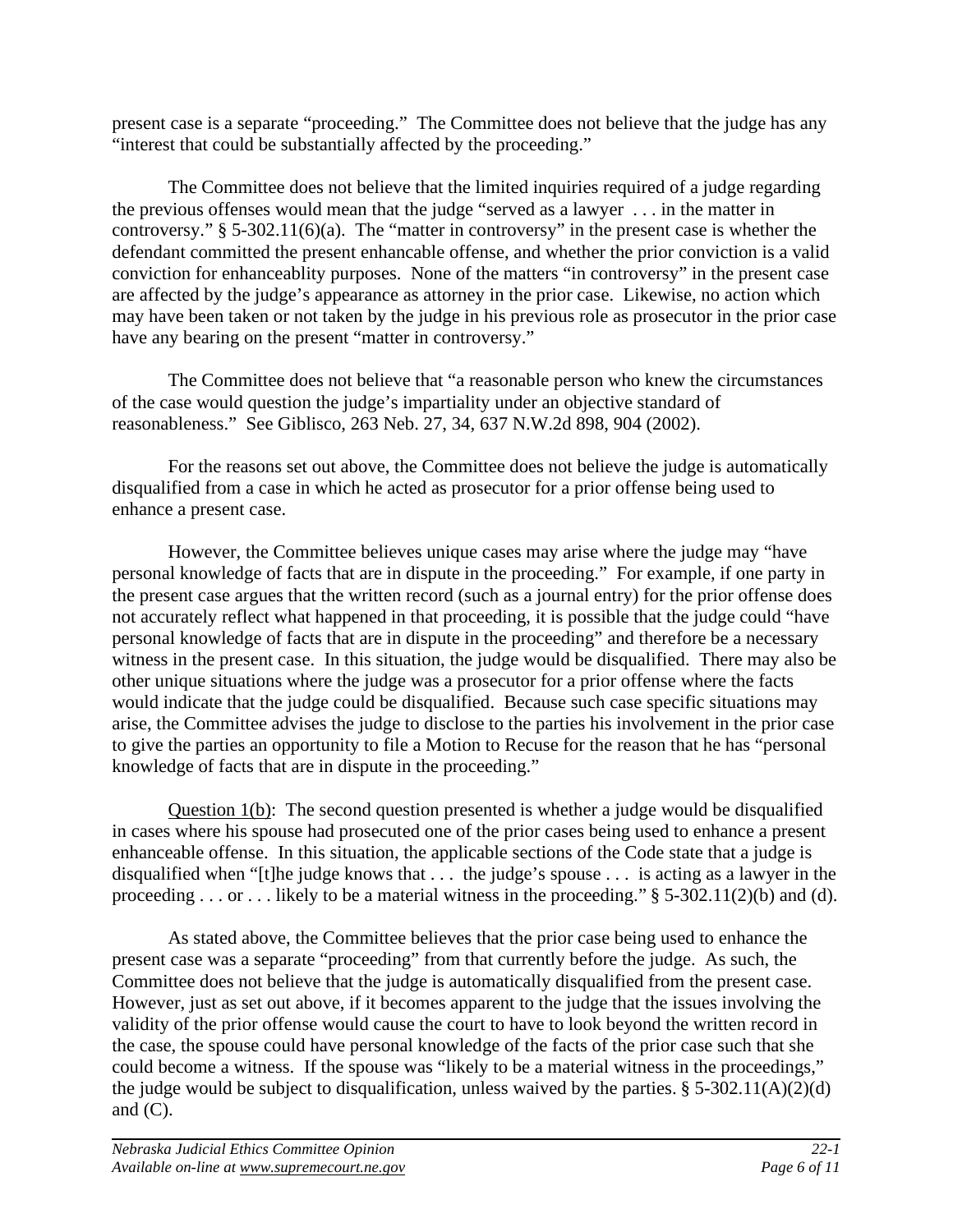present case is a separate "proceeding." The Committee does not believe that the judge has any "interest that could be substantially affected by the proceeding."

The Committee does not believe that the limited inquiries required of a judge regarding the previous offenses would mean that the judge "served as a lawyer . . . in the matter in controversy."  $\S$  5-302.11(6)(a). The "matter in controversy" in the present case is whether the defendant committed the present enhancable offense, and whether the prior conviction is a valid conviction for enhanceablity purposes. None of the matters "in controversy" in the present case are affected by the judge's appearance as attorney in the prior case. Likewise, no action which may have been taken or not taken by the judge in his previous role as prosecutor in the prior case have any bearing on the present "matter in controversy."

 The Committee does not believe that "a reasonable person who knew the circumstances of the case would question the judge's impartiality under an objective standard of reasonableness." See Giblisco, 263 Neb. 27, 34, 637 N.W.2d 898, 904 (2002).

 For the reasons set out above, the Committee does not believe the judge is automatically disqualified from a case in which he acted as prosecutor for a prior offense being used to enhance a present case.

However, the Committee believes unique cases may arise where the judge may "have personal knowledge of facts that are in dispute in the proceeding." For example, if one party in the present case argues that the written record (such as a journal entry) for the prior offense does not accurately reflect what happened in that proceeding, it is possible that the judge could "have personal knowledge of facts that are in dispute in the proceeding" and therefore be a necessary witness in the present case. In this situation, the judge would be disqualified. There may also be other unique situations where the judge was a prosecutor for a prior offense where the facts would indicate that the judge could be disqualified. Because such case specific situations may arise, the Committee advises the judge to disclose to the parties his involvement in the prior case to give the parties an opportunity to file a Motion to Recuse for the reason that he has "personal knowledge of facts that are in dispute in the proceeding."

Question 1(b): The second question presented is whether a judge would be disqualified in cases where his spouse had prosecuted one of the prior cases being used to enhance a present enhanceable offense. In this situation, the applicable sections of the Code state that a judge is disqualified when "[t]he judge knows that . . . the judge's spouse . . . is acting as a lawyer in the proceeding . . . or . . . likely to be a material witness in the proceeding." § 5-302.11(2)(b) and (d).

 As stated above, the Committee believes that the prior case being used to enhance the present case was a separate "proceeding" from that currently before the judge. As such, the Committee does not believe that the judge is automatically disqualified from the present case. However, just as set out above, if it becomes apparent to the judge that the issues involving the validity of the prior offense would cause the court to have to look beyond the written record in the case, the spouse could have personal knowledge of the facts of the prior case such that she could become a witness. If the spouse was "likely to be a material witness in the proceedings," the judge would be subject to disqualification, unless waived by the parties.  $\S$  5-302.11(A)(2)(d) and  $(C)$ .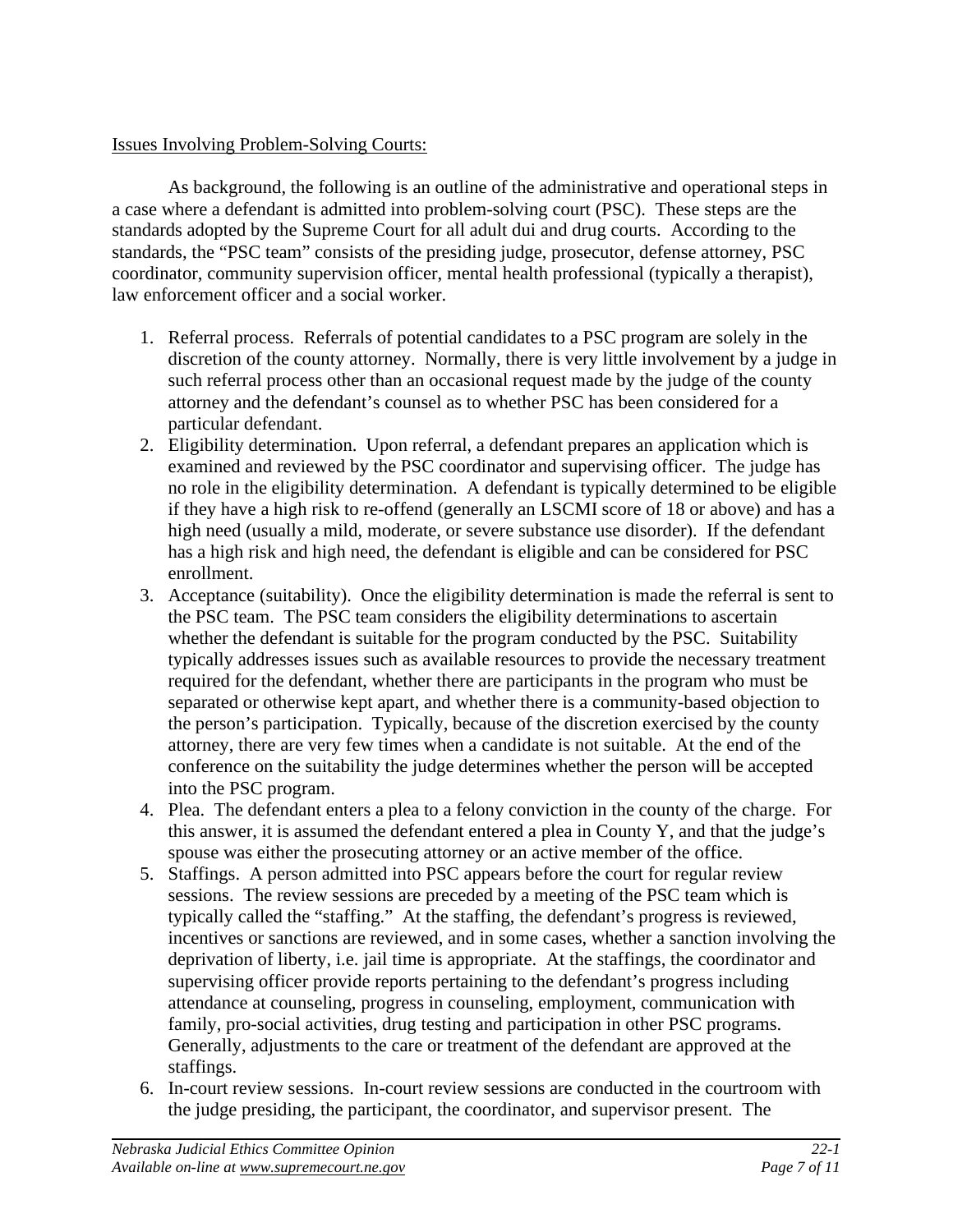# Issues Involving Problem-Solving Courts:

 As background, the following is an outline of the administrative and operational steps in a case where a defendant is admitted into problem-solving court (PSC). These steps are the standards adopted by the Supreme Court for all adult dui and drug courts. According to the standards, the "PSC team" consists of the presiding judge, prosecutor, defense attorney, PSC coordinator, community supervision officer, mental health professional (typically a therapist), law enforcement officer and a social worker.

- 1. Referral process. Referrals of potential candidates to a PSC program are solely in the discretion of the county attorney. Normally, there is very little involvement by a judge in such referral process other than an occasional request made by the judge of the county attorney and the defendant's counsel as to whether PSC has been considered for a particular defendant.
- 2. Eligibility determination. Upon referral, a defendant prepares an application which is examined and reviewed by the PSC coordinator and supervising officer. The judge has no role in the eligibility determination. A defendant is typically determined to be eligible if they have a high risk to re-offend (generally an LSCMI score of 18 or above) and has a high need (usually a mild, moderate, or severe substance use disorder). If the defendant has a high risk and high need, the defendant is eligible and can be considered for PSC enrollment.
- 3. Acceptance (suitability). Once the eligibility determination is made the referral is sent to the PSC team. The PSC team considers the eligibility determinations to ascertain whether the defendant is suitable for the program conducted by the PSC. Suitability typically addresses issues such as available resources to provide the necessary treatment required for the defendant, whether there are participants in the program who must be separated or otherwise kept apart, and whether there is a community-based objection to the person's participation. Typically, because of the discretion exercised by the county attorney, there are very few times when a candidate is not suitable. At the end of the conference on the suitability the judge determines whether the person will be accepted into the PSC program.
- 4. Plea. The defendant enters a plea to a felony conviction in the county of the charge. For this answer, it is assumed the defendant entered a plea in County Y, and that the judge's spouse was either the prosecuting attorney or an active member of the office.
- 5. Staffings. A person admitted into PSC appears before the court for regular review sessions. The review sessions are preceded by a meeting of the PSC team which is typically called the "staffing." At the staffing, the defendant's progress is reviewed, incentives or sanctions are reviewed, and in some cases, whether a sanction involving the deprivation of liberty, i.e. jail time is appropriate. At the staffings, the coordinator and supervising officer provide reports pertaining to the defendant's progress including attendance at counseling, progress in counseling, employment, communication with family, pro-social activities, drug testing and participation in other PSC programs. Generally, adjustments to the care or treatment of the defendant are approved at the staffings.
- 6. In-court review sessions. In-court review sessions are conducted in the courtroom with the judge presiding, the participant, the coordinator, and supervisor present. The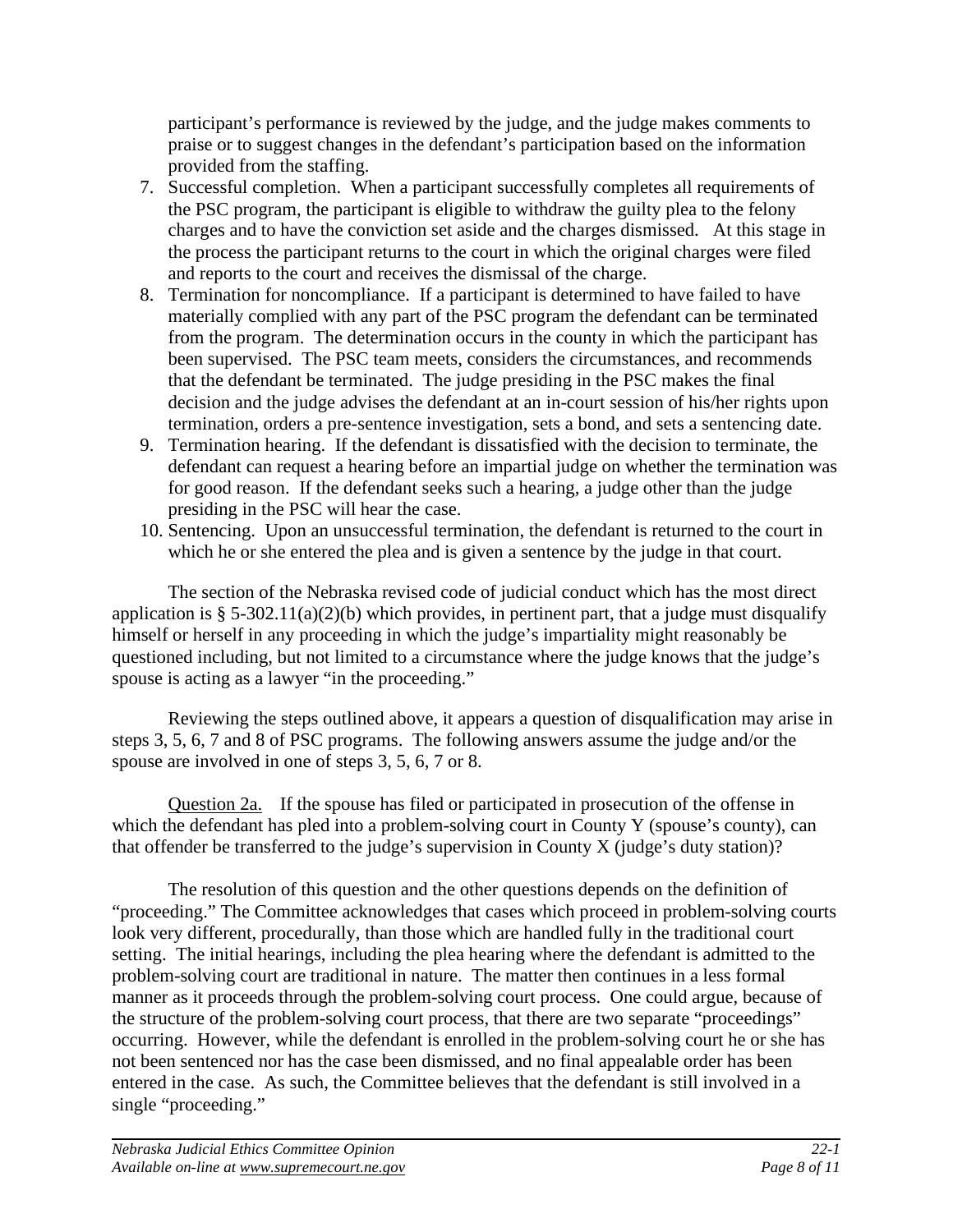participant's performance is reviewed by the judge, and the judge makes comments to praise or to suggest changes in the defendant's participation based on the information provided from the staffing.

- 7. Successful completion. When a participant successfully completes all requirements of the PSC program, the participant is eligible to withdraw the guilty plea to the felony charges and to have the conviction set aside and the charges dismissed. At this stage in the process the participant returns to the court in which the original charges were filed and reports to the court and receives the dismissal of the charge.
- 8. Termination for noncompliance. If a participant is determined to have failed to have materially complied with any part of the PSC program the defendant can be terminated from the program. The determination occurs in the county in which the participant has been supervised. The PSC team meets, considers the circumstances, and recommends that the defendant be terminated. The judge presiding in the PSC makes the final decision and the judge advises the defendant at an in-court session of his/her rights upon termination, orders a pre-sentence investigation, sets a bond, and sets a sentencing date.
- 9. Termination hearing. If the defendant is dissatisfied with the decision to terminate, the defendant can request a hearing before an impartial judge on whether the termination was for good reason. If the defendant seeks such a hearing, a judge other than the judge presiding in the PSC will hear the case.
- 10. Sentencing. Upon an unsuccessful termination, the defendant is returned to the court in which he or she entered the plea and is given a sentence by the judge in that court.

The section of the Nebraska revised code of judicial conduct which has the most direct application is § 5-302.11(a)(2)(b) which provides, in pertinent part, that a judge must disqualify himself or herself in any proceeding in which the judge's impartiality might reasonably be questioned including, but not limited to a circumstance where the judge knows that the judge's spouse is acting as a lawyer "in the proceeding."

Reviewing the steps outlined above, it appears a question of disqualification may arise in steps 3, 5, 6, 7 and 8 of PSC programs. The following answers assume the judge and/or the spouse are involved in one of steps 3, 5, 6, 7 or 8.

Question 2a. If the spouse has filed or participated in prosecution of the offense in which the defendant has pled into a problem-solving court in County Y (spouse's county), can that offender be transferred to the judge's supervision in County X (judge's duty station)?

The resolution of this question and the other questions depends on the definition of "proceeding." The Committee acknowledges that cases which proceed in problem-solving courts look very different, procedurally, than those which are handled fully in the traditional court setting. The initial hearings, including the plea hearing where the defendant is admitted to the problem-solving court are traditional in nature. The matter then continues in a less formal manner as it proceeds through the problem-solving court process. One could argue, because of the structure of the problem-solving court process, that there are two separate "proceedings" occurring. However, while the defendant is enrolled in the problem-solving court he or she has not been sentenced nor has the case been dismissed, and no final appealable order has been entered in the case. As such, the Committee believes that the defendant is still involved in a single "proceeding."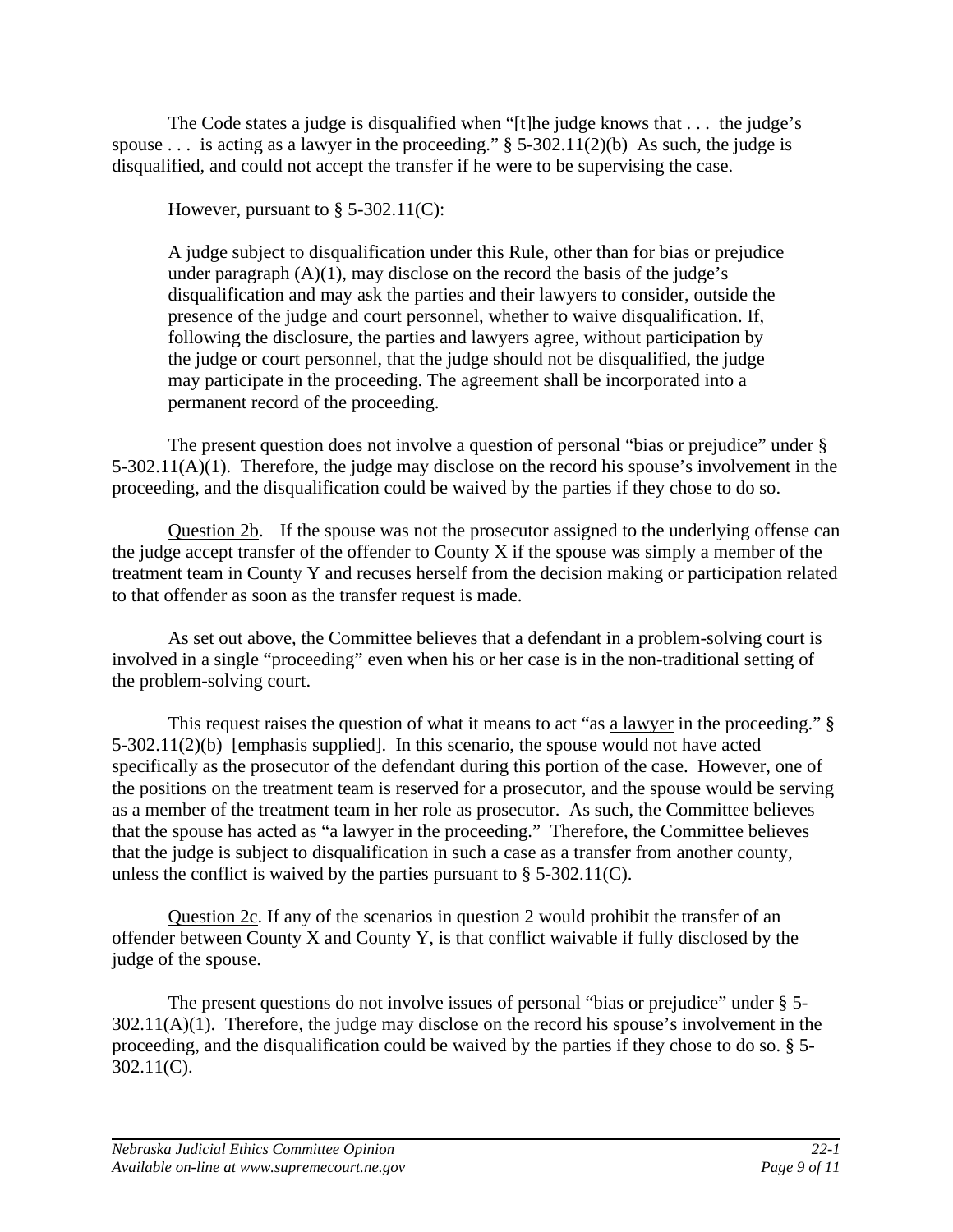The Code states a judge is disqualified when "[t]he judge knows that . . . the judge's spouse ... is acting as a lawyer in the proceeding."  $\S$  5-302.11(2)(b) As such, the judge is disqualified, and could not accept the transfer if he were to be supervising the case.

However, pursuant to  $\S$  5-302.11(C):

A judge subject to disqualification under this Rule, other than for bias or prejudice under paragraph  $(A)(1)$ , may disclose on the record the basis of the judge's disqualification and may ask the parties and their lawyers to consider, outside the presence of the judge and court personnel, whether to waive disqualification. If, following the disclosure, the parties and lawyers agree, without participation by the judge or court personnel, that the judge should not be disqualified, the judge may participate in the proceeding. The agreement shall be incorporated into a permanent record of the proceeding.

The present question does not involve a question of personal "bias or prejudice" under § 5-302.11(A)(1). Therefore, the judge may disclose on the record his spouse's involvement in the proceeding, and the disqualification could be waived by the parties if they chose to do so.

Question 2b. If the spouse was not the prosecutor assigned to the underlying offense can the judge accept transfer of the offender to County X if the spouse was simply a member of the treatment team in County Y and recuses herself from the decision making or participation related to that offender as soon as the transfer request is made.

As set out above, the Committee believes that a defendant in a problem-solving court is involved in a single "proceeding" even when his or her case is in the non-traditional setting of the problem-solving court.

This request raises the question of what it means to act "as a lawyer in the proceeding." § 5-302.11(2)(b) [emphasis supplied]. In this scenario, the spouse would not have acted specifically as the prosecutor of the defendant during this portion of the case. However, one of the positions on the treatment team is reserved for a prosecutor, and the spouse would be serving as a member of the treatment team in her role as prosecutor. As such, the Committee believes that the spouse has acted as "a lawyer in the proceeding." Therefore, the Committee believes that the judge is subject to disqualification in such a case as a transfer from another county, unless the conflict is waived by the parties pursuant to  $\S$  5-302.11(C).

Question 2c. If any of the scenarios in question 2 would prohibit the transfer of an offender between County X and County Y, is that conflict waivable if fully disclosed by the judge of the spouse.

The present questions do not involve issues of personal "bias or prejudice" under § 5-  $302.11(A)(1)$ . Therefore, the judge may disclose on the record his spouse's involvement in the proceeding, and the disqualification could be waived by the parties if they chose to do so. § 5- 302.11(C).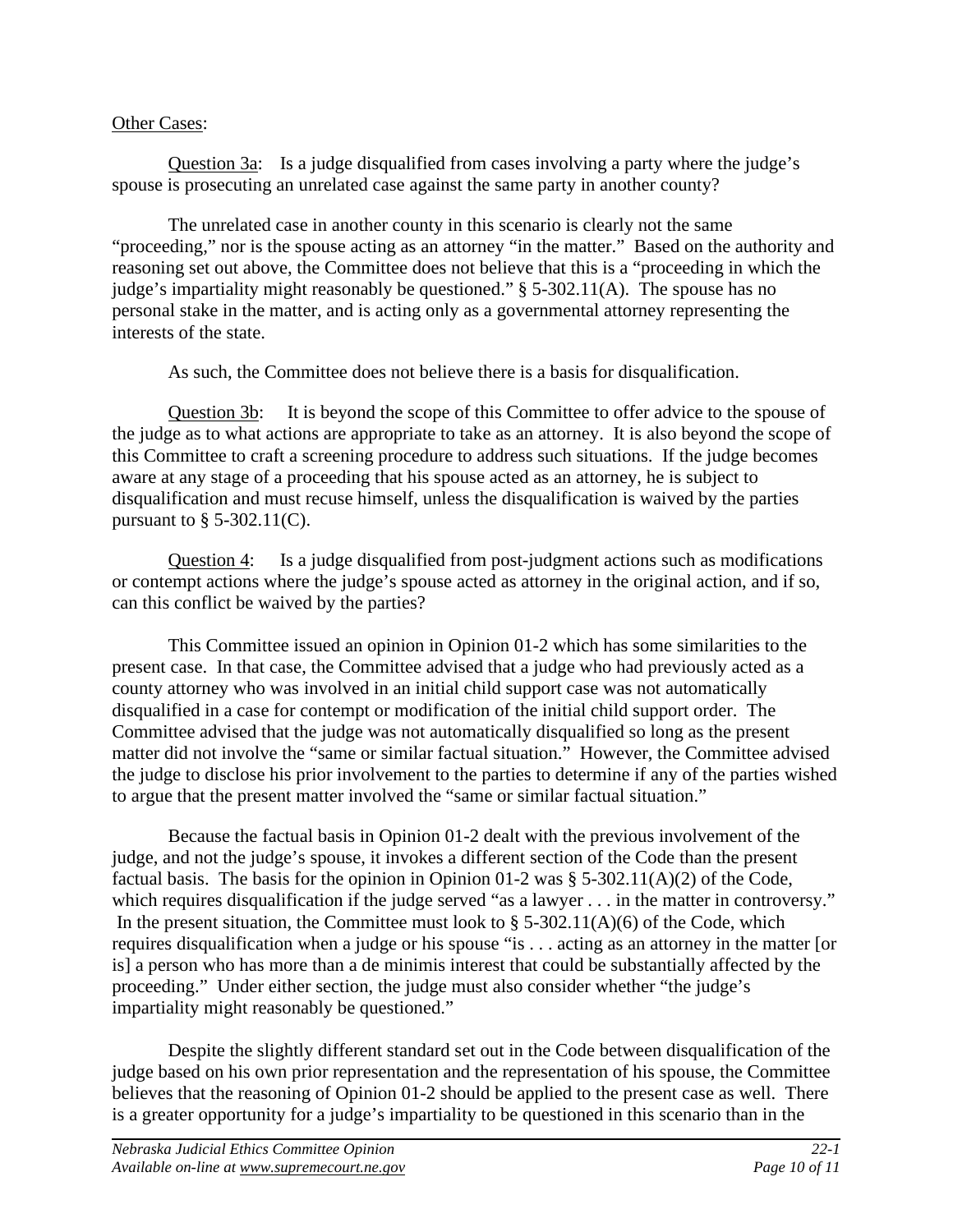### Other Cases:

Question 3a: Is a judge disqualified from cases involving a party where the judge's spouse is prosecuting an unrelated case against the same party in another county?

The unrelated case in another county in this scenario is clearly not the same "proceeding," nor is the spouse acting as an attorney "in the matter." Based on the authority and reasoning set out above, the Committee does not believe that this is a "proceeding in which the judge's impartiality might reasonably be questioned." § 5-302.11(A). The spouse has no personal stake in the matter, and is acting only as a governmental attorney representing the interests of the state.

As such, the Committee does not believe there is a basis for disqualification.

Question 3b: It is beyond the scope of this Committee to offer advice to the spouse of the judge as to what actions are appropriate to take as an attorney. It is also beyond the scope of this Committee to craft a screening procedure to address such situations. If the judge becomes aware at any stage of a proceeding that his spouse acted as an attorney, he is subject to disqualification and must recuse himself, unless the disqualification is waived by the parties pursuant to  $\S$  5-302.11(C).

Question 4: Is a judge disqualified from post-judgment actions such as modifications or contempt actions where the judge's spouse acted as attorney in the original action, and if so, can this conflict be waived by the parties?

This Committee issued an opinion in Opinion 01-2 which has some similarities to the present case. In that case, the Committee advised that a judge who had previously acted as a county attorney who was involved in an initial child support case was not automatically disqualified in a case for contempt or modification of the initial child support order. The Committee advised that the judge was not automatically disqualified so long as the present matter did not involve the "same or similar factual situation." However, the Committee advised the judge to disclose his prior involvement to the parties to determine if any of the parties wished to argue that the present matter involved the "same or similar factual situation."

Because the factual basis in Opinion 01-2 dealt with the previous involvement of the judge, and not the judge's spouse, it invokes a different section of the Code than the present factual basis. The basis for the opinion in Opinion 01-2 was  $\S$  5-302.11(A)(2) of the Code, which requires disqualification if the judge served "as a lawyer . . . in the matter in controversy." In the present situation, the Committee must look to  $\S$  5-302.11(A)(6) of the Code, which requires disqualification when a judge or his spouse "is . . . acting as an attorney in the matter [or is] a person who has more than a de minimis interest that could be substantially affected by the proceeding." Under either section, the judge must also consider whether "the judge's impartiality might reasonably be questioned."

Despite the slightly different standard set out in the Code between disqualification of the judge based on his own prior representation and the representation of his spouse, the Committee believes that the reasoning of Opinion 01-2 should be applied to the present case as well. There is a greater opportunity for a judge's impartiality to be questioned in this scenario than in the